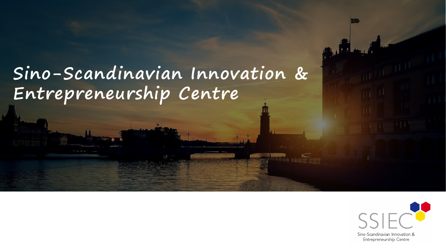# **Sino-Scandinavian Innovation & Entrepreneurship Centre**



Sino-Scandinavian Innovation & Entrepreneurship Centre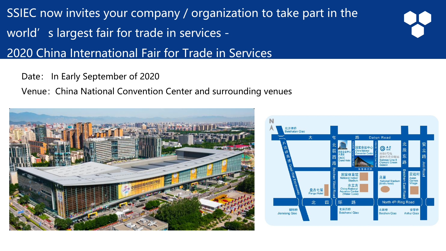SSIEC now invites your company/organization to take part in the world's largest fair for trade in services -

#### 2020 China International Fair for Trade in Services

#### Date: In Early September of 2020

Venue: China National Convention Center and surrounding venues



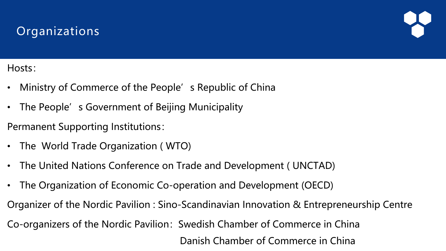#### **Organizations**



Hosts:

- Ministry of Commerce of the People's Republic of China
- The People's Government of Beijing Municipality

Permanent Supporting Institutions:

- The World Trade Organization ( WTO)
- The United Nations Conference on Trade and Development ( UNCTAD)
- The Organization of Economic Co-operation and Development (OECD)

Organizer of the Nordic Pavilion : Sino-Scandinavian Innovation & Entrepreneurship Centre

Co-organizers of the Nordic Pavilion: Swedish Chamber of Commerce in China

Danish Chamber of Commerce in China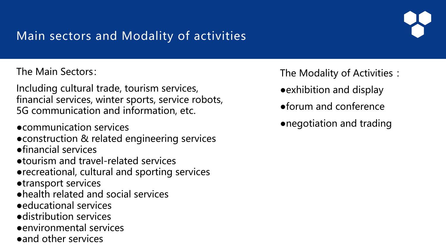## Main sectors and Modality of activities

The Main Sectors:

Including cultural trade, tourism services, financial services, winter sports, service robots, 5G communication and information, etc.

●communication services

● construction & related engineering services

●financial services

●tourism and travel-related services

●recreational, cultural and sporting services

●transport services

- ●health related and social services
- ●educational services
- ●distribution services
- ●environmental services
- ●and other services

The Modality of Activities :

- ●exhibition and display
- ●forum and conference
- ●negotiation and trading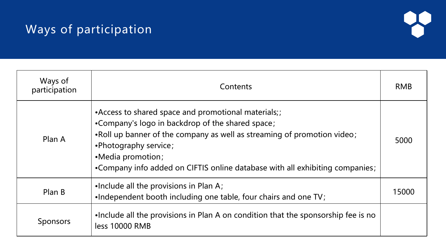### Ways of participation



| Ways of<br>participation | Contents                                                                                                                                                                                                                                                                                                         | <b>RMB</b> |
|--------------------------|------------------------------------------------------------------------------------------------------------------------------------------------------------------------------------------------------------------------------------------------------------------------------------------------------------------|------------|
| Plan A                   | •Access to shared space and promotional materials;;<br>•Company's logo in backdrop of the shared space;<br>.Roll up banner of the company as well as streaming of promotion video;<br>•Photography service;<br>•Media promotion;<br>•Company info added on CIFTIS online database with all exhibiting companies; | 5000       |
| Plan B                   | .Include all the provisions in Plan A;<br>.Independent booth including one table, four chairs and one TV;                                                                                                                                                                                                        | 15000      |
| <b>Sponsors</b>          | . Include all the provisions in Plan A on condition that the sponsorship fee is no<br>less 10000 RMB                                                                                                                                                                                                             |            |